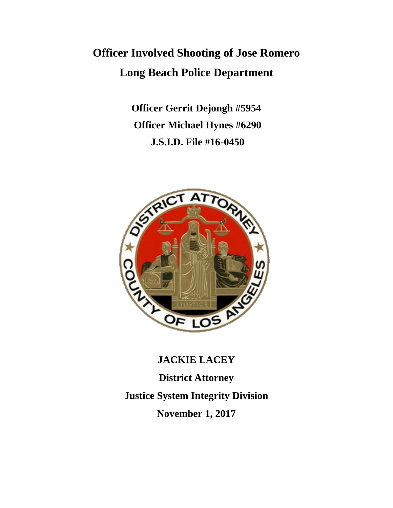# **Officer Involved Shooting of Jose Romero Long Beach Police Department**

**Officer Gerrit Dejongh #5954 Officer Michael Hynes #6290 J.S.I.D. File #16-0450**



**JACKIE LACEY District Attorney Justice System Integrity Division November 1, 2017**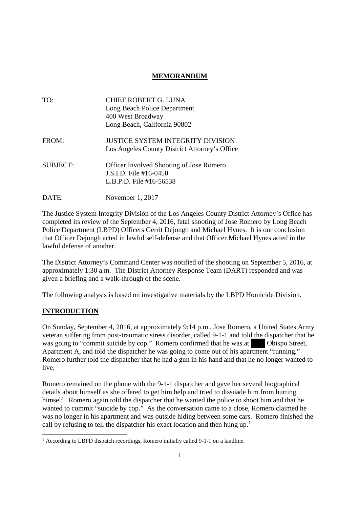## **MEMORANDUM**

| TO:             | <b>CHIEF ROBERT G. LUNA</b><br>Long Beach Police Department<br>400 West Broadway<br>Long Beach, California 90802 |
|-----------------|------------------------------------------------------------------------------------------------------------------|
| FROM:           | <b>JUSTICE SYSTEM INTEGRITY DIVISION</b><br>Los Angeles County District Attorney's Office                        |
| <b>SUBJECT:</b> | Officer Involved Shooting of Jose Romero<br>$\overline{1}$ S I D. File #16-0450<br>L.B.P.D. File $#16-56538$     |
| DATE:           | November 1, 2017                                                                                                 |

The Justice System Integrity Division of the Los Angeles County District Attorney's Office has completed its review of the September 4, 2016, fatal shooting of Jose Romero by Long Beach Police Department (LBPD) Officers Gerrit Dejongh and Michael Hynes. It is our conclusion that Officer Dejongh acted in lawful self-defense and that Officer Michael Hynes acted in the lawful defense of another.

The District Attorney's Command Center was notified of the shooting on September 5, 2016, at approximately 1:30 a.m. The District Attorney Response Team (DART) responded and was given a briefing and a walk-through of the scene.

The following analysis is based on investigative materials by the LBPD Homicide Division.

### **INTRODUCTION**

On Sunday, September 4, 2016, at approximately 9:14 p.m., Jose Romero, a United States Army veteran suffering from post-traumatic stress disorder, called 9-1-1 and told the dispatcher that he was going to "commit suicide by cop." Romero confirmed that he was at Obispo Street, Apartment A, and told the dispatcher he was going to come out of his apartment "running." Romero further told the dispatcher that he had a gun in his hand and that he no longer wanted to live.

Romero remained on the phone with the 9-1-1 dispatcher and gave her several biographical details about himself as she offered to get him help and tried to dissuade him from hurting himself. Romero again told the dispatcher that he wanted the police to shoot him and that he wanted to commit "suicide by cop." As the conversation came to a close, Romero claimed he was no longer in his apartment and was outside hiding between some cars. Romero finished the call by refusing to tell the dispatcher his exact location and then hung up.<sup>1</sup>

<sup>&</sup>lt;sup>1</sup> According to LBPD dispatch recordings, Romero initially called 9-1-1 on a landline.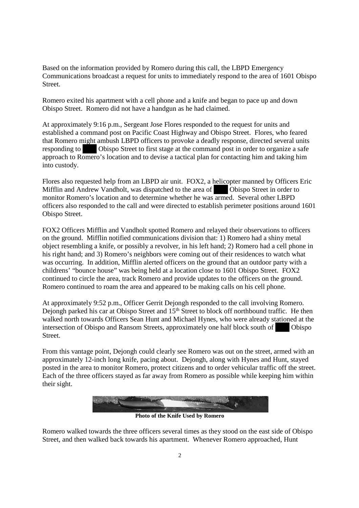Based on the information provided by Romero during this call, the LBPD Emergency Communications broadcast a request for units to immediately respond to the area of 1601 Obispo Street.

Romero exited his apartment with a cell phone and a knife and began to pace up and down Obispo Street. Romero did not have a handgun as he had claimed.

At approximately 9:16 p.m., Sergeant Jose Flores responded to the request for units and established a command post on Pacific Coast Highway and Obispo Street. Flores, who feared that Romero might ambush LBPD officers to provoke a deadly response, directed several units responding to Obispo Street to first stage at the command post in order to organize a safe approach to Romero's location and to devise a tactical plan for contacting him and taking him into custody.

Flores also requested help from an LBPD air unit. FOX2, a helicopter manned by Officers Eric Mifflin and Andrew Vandholt, was dispatched to the area of Obispo Street in order to monitor Romero's location and to determine whether he was armed. Several other LBPD officers also responded to the call and were directed to establish perimeter positions around 1601 Obispo Street.

FOX2 Officers Mifflin and Vandholt spotted Romero and relayed their observations to officers on the ground. Mifflin notified communications division that: 1) Romero had a shiny metal object resembling a knife, or possibly a revolver, in his left hand; 2) Romero had a cell phone in his right hand; and 3) Romero's neighbors were coming out of their residences to watch what was occurring. In addition, Mifflin alerted officers on the ground that an outdoor party with a childrens' "bounce house" was being held at a location close to 1601 Obispo Street. FOX2 continued to circle the area, track Romero and provide updates to the officers on the ground. Romero continued to roam the area and appeared to be making calls on his cell phone.

At approximately 9:52 p.m., Officer Gerrit Dejongh responded to the call involving Romero. Dejongh parked his car at Obispo Street and 15<sup>th</sup> Street to block off northbound traffic. He then walked north towards Officers Sean Hunt and Michael Hynes, who were already stationed at the intersection of Obispo and Ransom Streets, approximately one half block south of Obispo Street.

From this vantage point, Dejongh could clearly see Romero was out on the street, armed with an approximately 12-inch long knife, pacing about. Dejongh, along with Hynes and Hunt, stayed posted in the area to monitor Romero, protect citizens and to order vehicular traffic off the street. Each of the three officers stayed as far away from Romero as possible while keeping him within their sight.



**Photo of the Knife Used by Romero**

Romero walked towards the three officers several times as they stood on the east side of Obispo Street, and then walked back towards his apartment. Whenever Romero approached, Hunt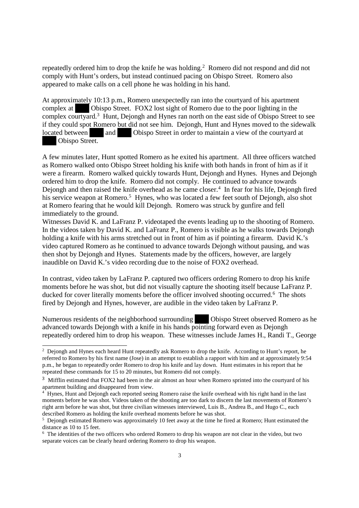repeatedly ordered him to drop the knife he was holding.<sup>2</sup> Romero did not respond and did not comply with Hunt's orders, but instead continued pacing on Obispo Street. Romero also appeared to make calls on a cell phone he was holding in his hand.

At approximately 10:13 p.m., Romero unexpectedly ran into the courtyard of his apartment complex at Obispo Street. FOX2 lost sight of Romero due to the poor lighting in the complex courtyard.<sup>3</sup> Hunt, Dejongh and Hynes ran north on the east side of Obispo Street to see if they could spot Romero but did not see him. Dejongh, Hunt and Hynes moved to the sidewalk located between and Obispo Street in order to maintain a view of the courty and at Obispo Street.

A few minutes later, Hunt spotted Romero as he exited his apartment. All three officers watched as Romero walked onto Obispo Street holding his knife with both hands in front of him as if it were a firearm. Romero walked quickly towards Hunt, Dejongh and Hynes. Hynes and Dejongh ordered him to drop the knife. Romero did not comply. He continued to advance towards Dejongh and then raised the knife overhead as he came closer.<sup>4</sup> In fear for his life, Dejongh fired his service weapon at Romero.<sup>5</sup> Hynes, who was located a few feet south of Dejongh, also shot at Romero fearing that he would kill Dejongh. Romero was struck by gunfire and fell immediately to the ground.

Witnesses David K. and LaFranz P. videotaped the events leading up to the shooting of Romero. In the videos taken by David K. and LaFranz P., Romero is visible as he walks towards Dejongh holding a knife with his arms stretched out in front of him as if pointing a firearm. David K.'s video captured Romero as he continued to advance towards Dejongh without pausing, and was then shot by Dejongh and Hynes. Statements made by the officers, however, are largely inaudible on David K.'s video recording due to the noise of FOX2 overhead.

In contrast, video taken by LaFranz P. captured two officers ordering Romero to drop his knife moments before he was shot, but did not visually capture the shooting itself because LaFranz P. ducked for cover literally moments before the officer involved shooting occurred.<sup>6</sup> The shots fired by Dejongh and Hynes, however, are audible in the video taken by LaFranz P.

Numerous residents of the neighborhood surrounding Obispo Street observed Romero as he advanced towards Dejongh with a knife in his hands pointing forward even as Dejongh repeatedly ordered him to drop his weapon. These witnesses include James H., Randi T., George

<sup>&</sup>lt;sup>2</sup> Dejongh and Hynes each heard Hunt repeatedly ask Romero to drop the knife. According to Hunt's report, he referred to Romero by his first name (Jose) in an attempt to establish a rapport with him and at approximately 9:54 p.m., he began to repeatedly order Romero to drop his knife and lay down. Hunt estimates in his report that he repeated these commands for 15 to 20 minutes, but Romero did not comply.

<sup>&</sup>lt;sup>3</sup> Mifflin estimated that FOX2 had been in the air almost an hour when Romero sprinted into the courtyard of his apartment building and disappeared from view.

<sup>&</sup>lt;sup>4</sup> Hynes, Hunt and Dejongh each reported seeing Romero raise the knife overhead with his right hand in the last moments before he was shot. Videos taken of the shooting are too dark to discern the last movements of Romero's right arm before he was shot, but three civilian witnesses interviewed, Luis B., Andrea B., and Hugo C., each described Romero as holding the knife overhead moments before he was shot.

<sup>5</sup> Dejongh estimated Romero was approximately 10 feet away at the time he fired at Romero; Hunt estimated the distance as 10 to 15 feet.

<sup>6</sup> The identities of the two officers who ordered Romero to drop his weapon are not clear in the video, but two separate voices can be clearly heard ordering Romero to drop his weapon.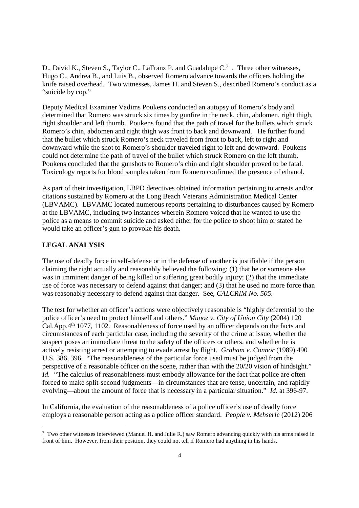D., David K., Steven S., Taylor C., LaFranz P. and Guadalupe  $C<sup>7</sup>$ . Three other witnesses, Hugo C., Andrea B., and Luis B., observed Romero advance towards the officers holding the knife raised overhead. Two witnesses, James H. and Steven S., described Romero's conduct as a "suicide by cop."

Deputy Medical Examiner Vadims Poukens conducted an autopsy of Romero's body and determined that Romero was struck six times by gunfire in the neck, chin, abdomen, right thigh, right shoulder and left thumb. Poukens found that the path of travel for the bullets which struck Romero's chin, abdomen and right thigh was front to back and downward. He further found that the bullet which struck Romero's neck traveled from front to back, left to right and downward while the shot to Romero's shoulder traveled right to left and downward. Poukens could not determine the path of travel of the bullet which struck Romero on the left thumb. Poukens concluded that the gunshots to Romero's chin and right shoulder proved to be fatal. Toxicology reports for blood samples taken from Romero confirmed the presence of ethanol.

As part of their investigation, LBPD detectives obtained information pertaining to arrests and/or citations sustained by Romero at the Long Beach Veterans Administration Medical Center (LBVAMC). LBVAMC located numerous reports pertaining to disturbances caused by Romero at the LBVAMC, including two instances wherein Romero voiced that he wanted to use the police as a means to commit suicide and asked either for the police to shoot him or stated he would take an officer's gun to provoke his death.

#### **LEGAL ANALYSIS**

The use of deadly force in self-defense or in the defense of another is justifiable if the person claiming the right actually and reasonably believed the following: (1) that he or someone else was in imminent danger of being killed or suffering great bodily injury; (2) that the immediate use of force was necessary to defend against that danger; and (3) that he used no more force than was reasonably necessary to defend against that danger. See, *CALCRIM No. 505*.

The test for whether an officer's actions were objectively reasonable is "highly deferential to the police officer's need to protect himself and others." *Munoz v. City of Union City* (2004) 120 Cal.App.4th 1077, 1102. Reasonableness of force used by an officer depends on the facts and circumstances of each particular case, including the severity of the crime at issue, whether the suspect poses an immediate threat to the safety of the officers or others, and whether he is actively resisting arrest or attempting to evade arrest by flight. *Graham v. Connor* (1989) 490 U.S. 386, 396. "The reasonableness of the particular force used must be judged from the perspective of a reasonable officer on the scene, rather than with the 20/20 vision of hindsight." *Id.* "The calculus of reasonableness must embody allowance for the fact that police are often forced to make split-second judgments—in circumstances that are tense, uncertain, and rapidly evolving—about the amount of force that is necessary in a particular situation." *Id.* at 396-97.

In California, the evaluation of the reasonableness of a police officer's use of deadly force employs a reasonable person acting as a police officer standard. *People v. Mehserle* (2012) 206

<sup>7</sup> Two other witnesses interviewed (Manuel H. and Julie R.) saw Romero advancing quickly with his arms raised in front of him. However, from their position, they could not tell if Romero had anything in his hands.